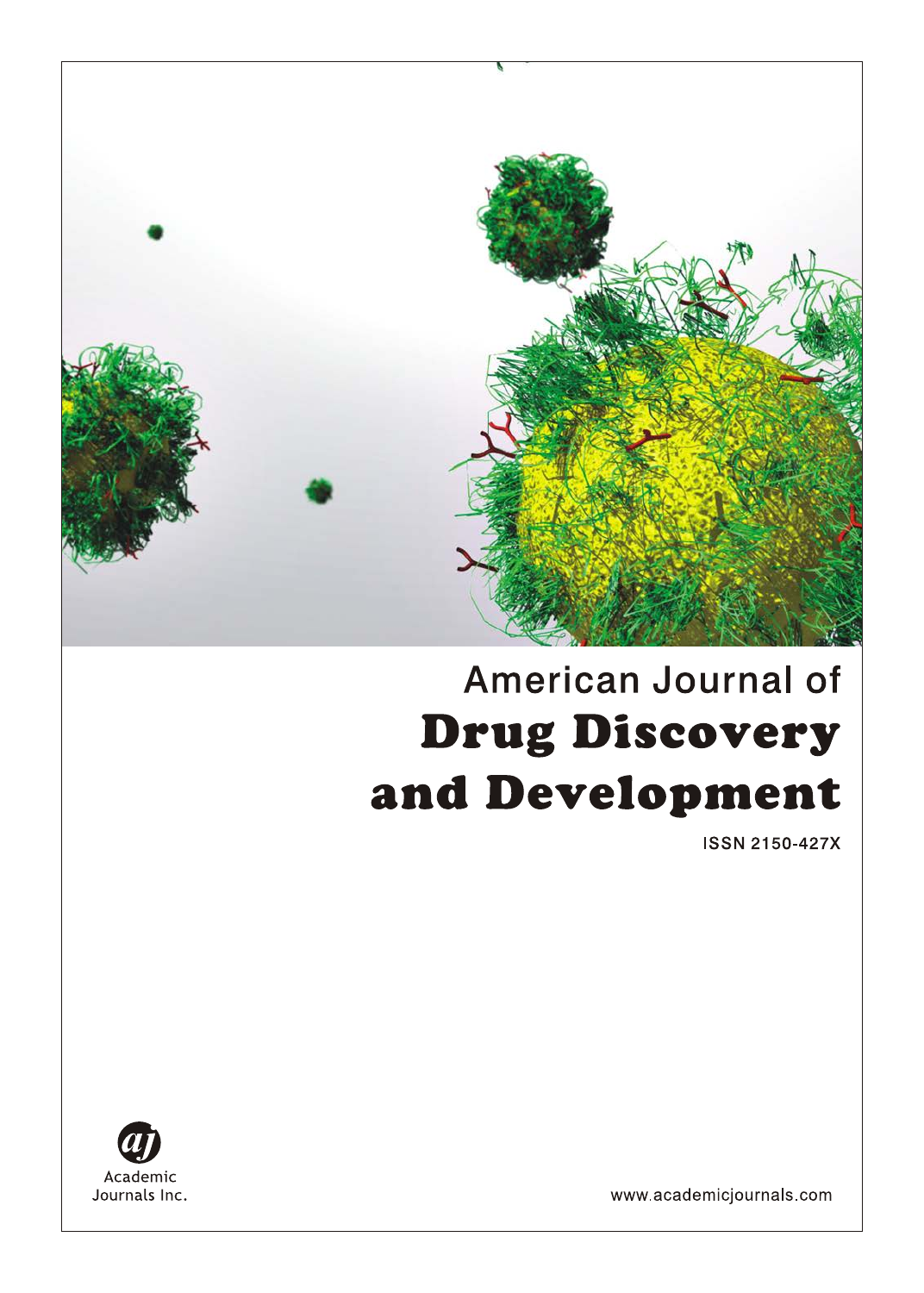

# American Journal of **Drug Discovery** and Development

**ISSN 2150-427X** 



www.academicjournals.com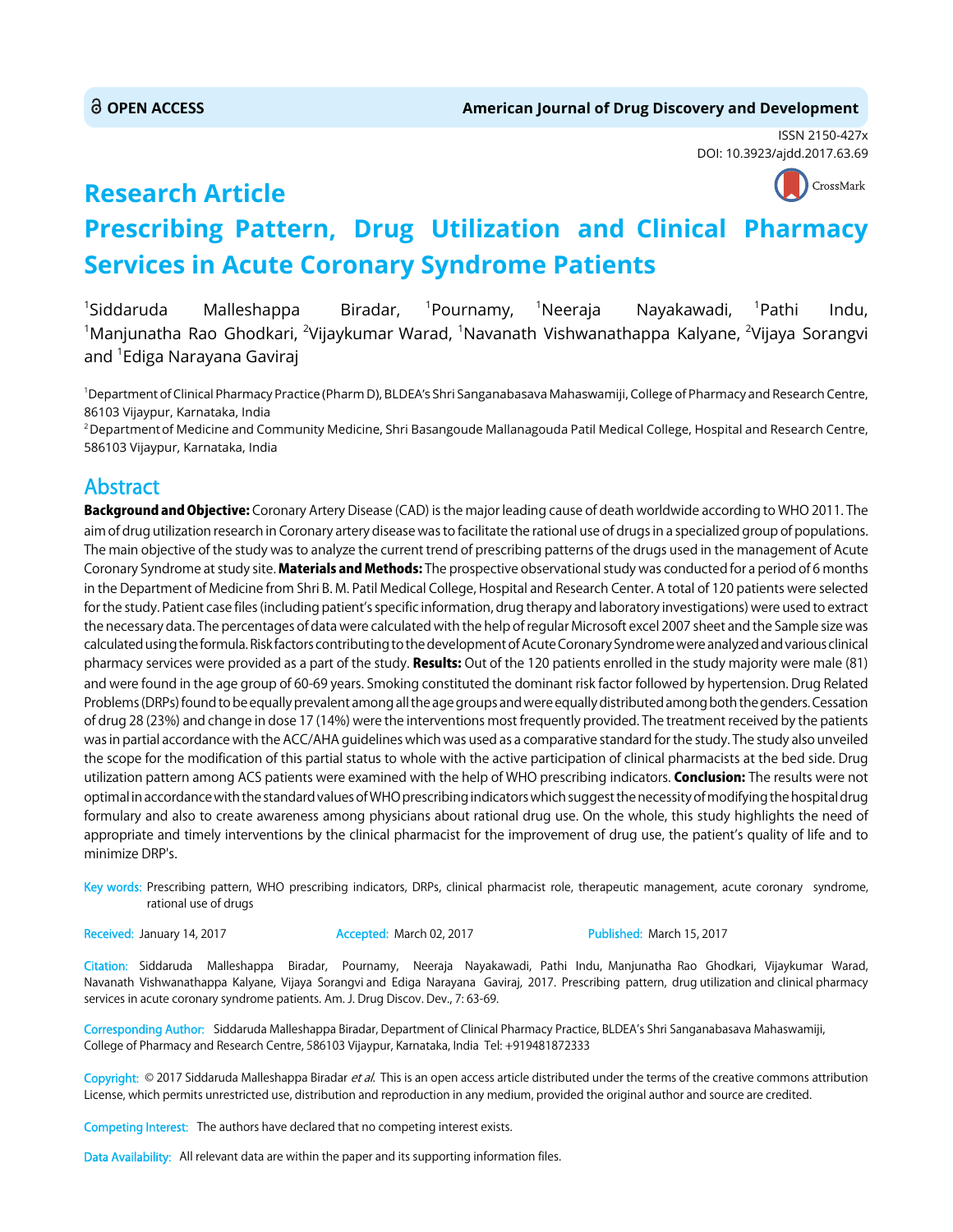**Research Article**

ISSN 2150-427x DOI: 10.3923/ajdd.2017.63.69



## **Prescribing Pattern, Drug Utilization and Clinical Pharmacy Services in Acute Coronary Syndrome Patients**

<sup>1</sup>Siddaruda Malleshappa Biradar, <sup>1</sup>Pournamy, <sup>1</sup>Neeraja Nayakawadi, <sup>1</sup>Pathi Indu,  $^{\rm 1}$ Manjunatha Rao Ghodkari,  $^{\rm 2}$ Vijaykumar Warad,  $^{\rm 1}$ Navanath Vishwanathappa Kalyane,  $^{\rm 2}$ Vijaya Sorangvi and <sup>1</sup>Ediga Narayana Gaviraj

1 Department of Clinical Pharmacy Practice (Pharm D), BLDEA's Shri Sanganabasava Mahaswamiji, College of Pharmacy and Research Centre, 86103 Vijaypur, Karnataka, India

<sup>2</sup> Department of Medicine and Community Medicine, Shri Basangoude Mallanagouda Patil Medical College, Hospital and Research Centre, 586103 Vijaypur, Karnataka, India

## Abstract

Background and Objective: Coronary Artery Disease (CAD) is the major leading cause of death worldwide according to WHO 2011. The aim of drug utilization research in Coronary artery disease was to facilitate the rational use of drugs in a specialized group of populations. The main objective of the study was to analyze the current trend of prescribing patterns of the drugs used in the management of Acute Coronary Syndrome at study site. Materials and Methods: The prospective observational study was conducted for a period of 6 months in the Department of Medicine from Shri B. M. Patil Medical College, Hospital and Research Center. A total of 120 patients were selected for the study. Patient case files (including patient's specific information, drug therapy and laboratory investigations) were used to extract the necessary data. The percentages of data were calculated with the help of regular Microsoft excel 2007 sheet and the Sample size was calculated using the formula. Risk factors contributing to the development of Acute Coronary Syndrome were analyzed and various clinical pharmacy services were provided as a part of the study. Results: Out of the 120 patients enrolled in the study majority were male (81) and were found in the age group of 60-69 years. Smoking constituted the dominant risk factor followed by hypertension. Drug Related Problems (DRPs) found to be equally prevalent among all the age groups and were equally distributed among both the genders. Cessation of drug 28 (23%) and change in dose 17 (14%) were the interventions most frequently provided. The treatment received by the patients was in partial accordance with the ACC/AHA guidelines which was used as a comparative standard for the study. The study also unveiled the scope for the modification of this partial status to whole with the active participation of clinical pharmacists at the bed side. Drug utilization pattern among ACS patients were examined with the help of WHO prescribing indicators. Conclusion: The results were not optimal in accordance with the standard values of WHO prescribing indicators which suggest the necessity of modifying the hospital drug formulary and also to create awareness among physicians about rational drug use. On the whole, this study highlights the need of appropriate and timely interventions by the clinical pharmacist for the improvement of drug use, the patient's quality of life and to minimize DRP's.

Key words: Prescribing pattern, WHO prescribing indicators, DRPs, clinical pharmacist role, therapeutic management, acute coronary syndrome, rational use of drugs

Received: January 14, 2017 **Accepted: March 02, 2017** Published: March 15, 2017

Citation: Siddaruda Malleshappa Biradar, Pournamy, Neeraja Nayakawadi, Pathi Indu, Manjunatha Rao Ghodkari, Vijaykumar Warad, Navanath Vishwanathappa Kalyane, Vijaya Sorangvi and Ediga Narayana Gaviraj, 2017. Prescribing pattern, drug utilization and clinical pharmacy services in acute coronary syndrome patients. Am. J. Drug Discov. Dev., 7: 63-69.

Corresponding Author: Siddaruda Malleshappa Biradar, Department of Clinical Pharmacy Practice, BLDEA's Shri Sanganabasava Mahaswamiji, College of Pharmacy and Research Centre, 586103 Vijaypur, Karnataka, India Tel: +919481872333

Copyright: © 2017 Siddaruda Malleshappa Biradar et al. This is an open access article distributed under the terms of the creative commons attribution License, which permits unrestricted use, distribution and reproduction in any medium, provided the original author and source are credited.

Competing Interest: The authors have declared that no competing interest exists.

Data Availability: All relevant data are within the paper and its supporting information files.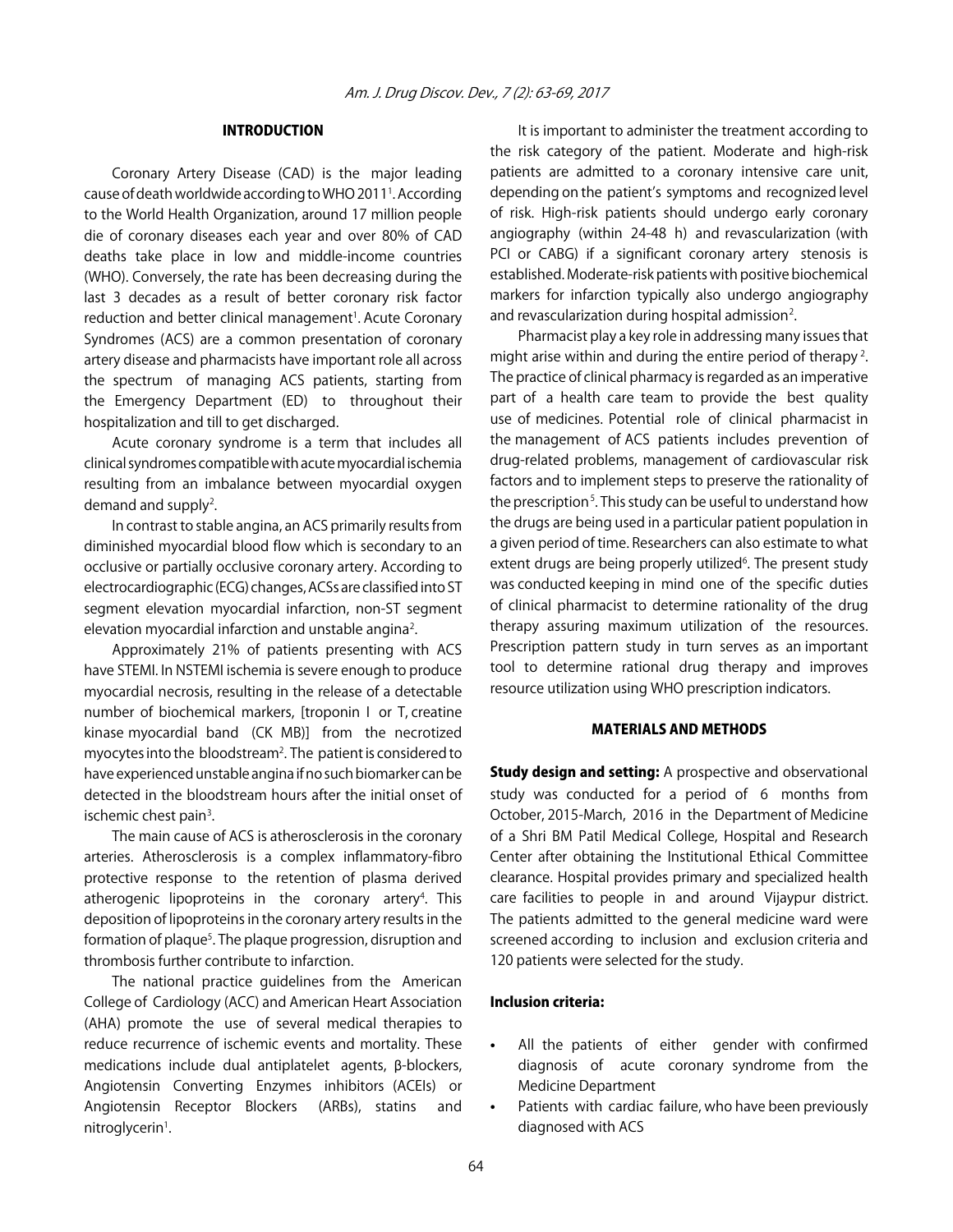## INTRODUCTION

Coronary Artery Disease (CAD) is the major leading cause of death worldwide according to WHO 20111 . According to the World Health Organization, around 17 million people die of coronary diseases each year and over 80% of CAD deaths take place in low and middle-income countries (WHO). Conversely, the rate has been decreasing during the last 3 decades as a result of better coronary risk factor reduction and better clinical management<sup>1</sup>. Acute Coronary Syndromes (ACS) are a common presentation of coronary artery disease and pharmacists have important role all across the spectrum of managing ACS patients, starting from the Emergency Department (ED) to throughout their hospitalization and till to get discharged.

Acute coronary syndrome is a term that includes all clinical syndromes compatible with acute myocardial ischemia resulting from an imbalance between myocardial oxygen demand and supply<sup>2</sup>.

In contrast to stable angina, an ACS primarily results from diminished myocardial blood flow which is secondary to an occlusive or partially occlusive coronary artery. According to electrocardiographic (ECG) changes, ACSs are classified into ST segment elevation myocardial infarction, non-ST segment elevation myocardial infarction and unstable angina<sup>2</sup>.

Approximately 21% of patients presenting with ACS have STEMI. In NSTEMI ischemia is severe enough to produce myocardial necrosis, resulting in the release of a detectable number of biochemical markers, [troponin I or T, creatine kinase myocardial band (CK MB)] from the necrotized myocytes into the bloodstream<sup>2</sup>. The patient is considered to have experienced unstable angina if no such biomarker can be detected in the bloodstream hours after the initial onset of ischemic chest pain<sup>3</sup>.

The main cause of ACS is atherosclerosis in the coronary arteries. Atherosclerosis is a complex inflammatory-fibro protective response to the retention of plasma derived atherogenic lipoproteins in the coronary artery<sup>4</sup>. This deposition of lipoproteins in the coronary artery results in the formation of plaque<sup>5</sup>. The plaque progression, disruption and thrombosis further contribute to infarction.

The national practice guidelines from the American College of Cardiology (ACC) and American Heart Association (AHA) promote the use of several medical therapies to reduce recurrence of ischemic events and mortality. These medications include dual antiplatelet agents, B-blockers, Angiotensin Converting Enzymes inhibitors (ACEIs) or Angiotensin Receptor Blockers (ARBs), statins and nitroglycerin<sup>1</sup>.

It is important to administer the treatment according to the risk category of the patient. Moderate and high-risk patients are admitted to a coronary intensive care unit, depending on the patient's symptoms and recognized level of risk. High-risk patients should undergo early coronary angiography (within 24-48 h) and revascularization (with PCI or CABG) if a significant coronary artery stenosis is established. Moderate-risk patients with positive biochemical markers for infarction typically also undergo angiography and revascularization during hospital admission<sup>2</sup>.

Pharmacist play a key role in addressing many issues that might arise within and during the entire period of therapy<sup>2</sup>. The practice of clinical pharmacy is regarded as an imperative part of a health care team to provide the best quality use of medicines. Potential role of clinical pharmacist in the management of ACS patients includes prevention of drug-related problems, management of cardiovascular risk factors and to implement steps to preserve the rationality of the prescription<sup>5</sup>. This study can be useful to understand how the drugs are being used in a particular patient population in a given period of time. Researchers can also estimate to what extent drugs are being properly utilized<sup>6</sup>. The present study was conducted keeping in mind one of the specific duties of clinical pharmacist to determine rationality of the drug therapy assuring maximum utilization of the resources. Prescription pattern study in turn serves as an important tool to determine rational drug therapy and improves resource utilization using WHO prescription indicators.

## MATERIALS AND METHODS

**Study design and setting:** A prospective and observational study was conducted for a period of 6 months from October, 2015-March, 2016 in the Department of Medicine of a Shri BM Patil Medical College, Hospital and Research Center after obtaining the Institutional Ethical Committee clearance. Hospital provides primary and specialized health care facilities to people in and around Vijaypur district. The patients admitted to the general medicine ward were screened according to inclusion and exclusion criteria and 120 patients were selected for the study.

## Inclusion criteria:

- All the patients of either gender with confirmed diagnosis of acute coronary syndrome from the Medicine Department
- Patients with cardiac failure, who have been previously diagnosed with ACS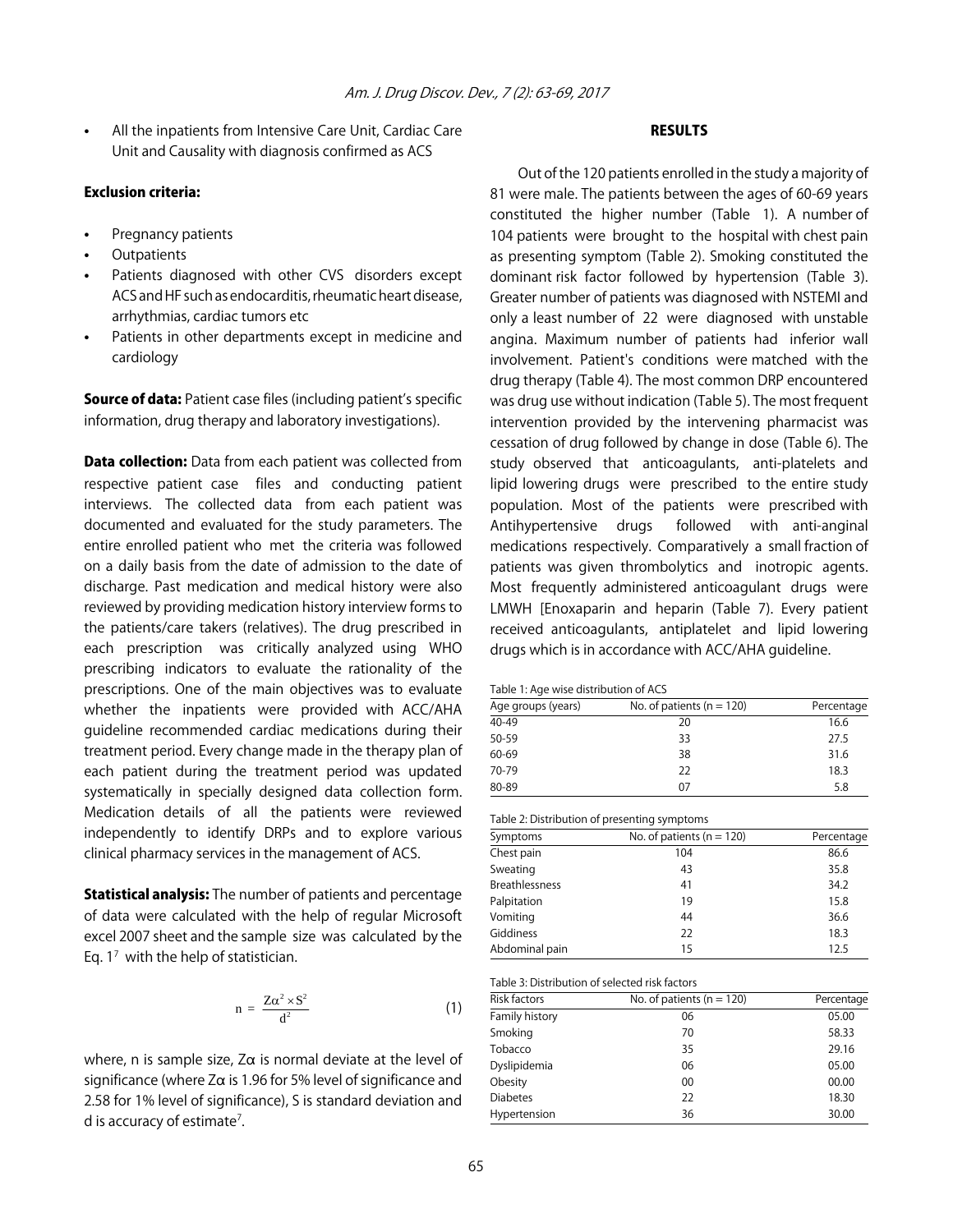All the inpatients from Intensive Care Unit, Cardiac Care Unit and Causality with diagnosis confirmed as ACS

## Exclusion criteria:

- Pregnancy patients
- **Outpatients**
- Patients diagnosed with other CVS disorders except ACS and HF such as endocarditis, rheumatic heart disease, arrhythmias, cardiac tumors etc
- Patients in other departments except in medicine and cardiology

**Source of data:** Patient case files (including patient's specific information, drug therapy and laboratory investigations).

**Data collection:** Data from each patient was collected from respective patient case files and conducting patient interviews. The collected data from each patient was documented and evaluated for the study parameters. The entire enrolled patient who met the criteria was followed on a daily basis from the date of admission to the date of discharge. Past medication and medical history were also reviewed by providing medication history interview forms to the patients/care takers (relatives). The drug prescribed in each prescription was critically analyzed using WHO prescribing indicators to evaluate the rationality of the prescriptions. One of the main objectives was to evaluate whether the inpatients were provided with ACC/AHA guideline recommended cardiac medications during their treatment period. Every change made in the therapy plan of each patient during the treatment period was updated systematically in specially designed data collection form. Medication details of all the patients were reviewed independently to identify DRPs and to explore various clinical pharmacy services in the management of ACS.

**Statistical analysis:** The number of patients and percentage of data were calculated with the help of regular Microsoft excel 2007 sheet and the sample size was calculated by the Eq.  $1<sup>7</sup>$  with the help of statistician.

$$
n = \frac{Z\alpha^2 \times S^2}{d^2} \tag{1}
$$

where, n is sample size,  $Z\alpha$  is normal deviate at the level of significance (where  $Z\alpha$  is 1.96 for 5% level of significance and 2.58 for 1% level of significance), S is standard deviation and d is accuracy of estimate<sup>7</sup>.

## RESULTS

Out of the 120 patients enrolled in the study a majority of 81 were male. The patients between the ages of 60-69 years constituted the higher number (Table 1). A number of 104 patients were brought to the hospital with chest pain as presenting symptom (Table 2). Smoking constituted the dominant risk factor followed by hypertension (Table 3). Greater number of patients was diagnosed with NSTEMI and only a least number of 22 were diagnosed with unstable angina. Maximum number of patients had inferior wall involvement. Patient's conditions were matched with the drug therapy (Table 4). The most common DRP encountered was drug use without indication (Table 5). The most frequent intervention provided by the intervening pharmacist was cessation of drug followed by change in dose (Table 6). The study observed that anticoagulants, anti-platelets and lipid lowering drugs were prescribed to the entire study population. Most of the patients were prescribed with Antihypertensive drugs followed with anti-anginal medications respectively. Comparatively a small fraction of patients was given thrombolytics and inotropic agents. Most frequently administered anticoagulant drugs were LMWH [Enoxaparin and heparin (Table 7). Every patient received anticoagulants, antiplatelet and lipid lowering drugs which is in accordance with ACC/AHA guideline.

Table 1: Age wise distribution of ACS

| Age groups (years) | No. of patients ( $n = 120$ ) | Percentage |  |
|--------------------|-------------------------------|------------|--|
| 40-49              | 20                            | 16.6       |  |
| 50-59              | 33                            | 27.5       |  |
| 60-69              | 38                            | 31.6       |  |
| 70-79              | 22                            | 18.3       |  |
| 80-89              | 07                            | 5.8        |  |

| Symptoms              | No. of patients ( $n = 120$ ) | Percentage |
|-----------------------|-------------------------------|------------|
| Chest pain            | 104                           | 86.6       |
| Sweating              | 43                            | 35.8       |
| <b>Breathlessness</b> | 41                            | 34.2       |
| Palpitation           | 19                            | 15.8       |
| Vomiting              | 44                            | 36.6       |
| Giddiness             | 22                            | 18.3       |
| Abdominal pain        | 15                            | 12.5       |

| Table 3: Distribution of selected risk factors |                               |            |
|------------------------------------------------|-------------------------------|------------|
| <b>Risk factors</b>                            | No. of patients ( $n = 120$ ) | Percentage |
| Family history                                 | 06                            | 05.00      |
| Smoking                                        | 70                            | 58.33      |
| Tobacco                                        | 35                            | 29.16      |
| Dyslipidemia                                   | 06                            | 05.00      |
| Obesity                                        | 00                            | 00.00      |

Diabetes 22 18.30 Hypertension 36 30.00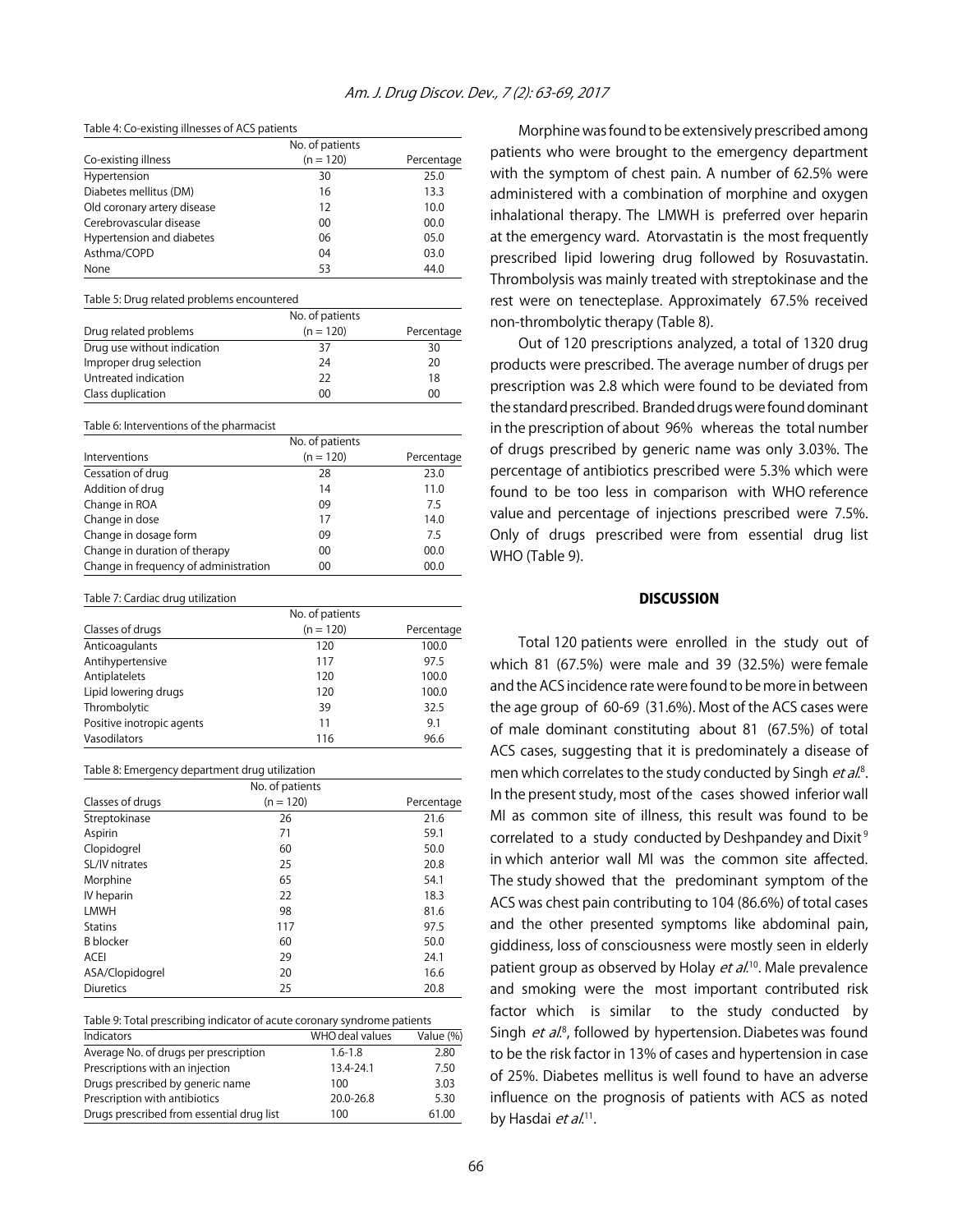#### Table 4: Co-existing illnesses of ACS patients

|                             | No. of patients |            |
|-----------------------------|-----------------|------------|
| Co-existing illness         | $(n = 120)$     | Percentage |
| Hypertension                | 30              | 25.0       |
| Diabetes mellitus (DM)      | 16              | 13.3       |
| Old coronary artery disease | 12              | 10.0       |
| Cerebrovascular disease     | 00              | 00.0       |
| Hypertension and diabetes   | 06              | 05.0       |
| Asthma/COPD                 | 04              | 03.0       |
| None                        | 53              | 44.0       |

#### Table 5: Drug related problems encountered

|                             | No. of patients |            |
|-----------------------------|-----------------|------------|
| Drug related problems       | $(n = 120)$     | Percentage |
| Drug use without indication | 37              | 30         |
| Improper drug selection     | 24              | 20         |
| Untreated indication        | 22              | 18         |
| Class duplication           | 00              | 00         |

Table 6: Interventions of the pharmacist

|                                       | No. of patients |            |
|---------------------------------------|-----------------|------------|
| Interventions                         | $(n = 120)$     | Percentage |
| Cessation of drug                     | 28              | 23.0       |
| Addition of drug                      | 14              | 11.0       |
| Change in ROA                         | 09              | 7.5        |
| Change in dose                        | 17              | 14.0       |
| Change in dosage form                 | 09              | 7.5        |
| Change in duration of therapy         | $00 \,$         | 00.0       |
| Change in frequency of administration | 00              | 00.0       |

#### Table 7: Cardiac drug utilization

|                           | No. of patients |            |
|---------------------------|-----------------|------------|
| Classes of drugs          | $(n = 120)$     | Percentage |
| Anticoagulants            | 120             | 100.0      |
| Antihypertensive          | 117             | 97.5       |
| Antiplatelets             | 120             | 100.0      |
| Lipid lowering drugs      | 120             | 100.0      |
| Thrombolytic              | 39              | 32.5       |
| Positive inotropic agents | 11              | 9.1        |
| Vasodilators              | 116             | 96.6       |

#### Table 8: Emergency department drug utilization

|                  | No. of patients |            |
|------------------|-----------------|------------|
| Classes of drugs | $(n = 120)$     | Percentage |
| Streptokinase    | 26              | 21.6       |
| Aspirin          | 71              | 59.1       |
| Clopidogrel      | 60              | 50.0       |
| SL/IV nitrates   | 25              | 20.8       |
| Morphine         | 65              | 54.1       |
| IV heparin       | 22              | 18.3       |
| <b>LMWH</b>      | 98              | 81.6       |
| <b>Statins</b>   | 117             | 97.5       |
| <b>B</b> blocker | 60              | 50.0       |
| <b>ACEI</b>      | 29              | 24.1       |
| ASA/Clopidogrel  | 20              | 16.6       |
| <b>Diuretics</b> | 25              | 20.8       |

Table 9: Total prescribing indicator of acute coronary syndrome patients

| Indicators                                | WHO deal values | Value (%) |
|-------------------------------------------|-----------------|-----------|
| Average No. of drugs per prescription     | $1.6 - 1.8$     | 2.80      |
| Prescriptions with an injection           | 13.4-24.1       | 7.50      |
| Drugs prescribed by generic name          | 100             | 3.03      |
| Prescription with antibiotics             | $20.0 - 26.8$   | 5.30      |
| Drugs prescribed from essential drug list | 100             | 61.00     |

Morphine was found to be extensively prescribed among patients who were brought to the emergency department with the symptom of chest pain. A number of 62.5% were administered with a combination of morphine and oxygen inhalational therapy. The LMWH is preferred over heparin at the emergency ward. Atorvastatin is the most frequently prescribed lipid lowering drug followed by Rosuvastatin. Thrombolysis was mainly treated with streptokinase and the rest were on tenecteplase. Approximately 67.5% received non-thrombolytic therapy (Table 8).

Out of 120 prescriptions analyzed, a total of 1320 drug products were prescribed. The average number of drugs per prescription was 2.8 which were found to be deviated from the standard prescribed. Branded drugs were found dominant in the prescription of about 96% whereas the total number of drugs prescribed by generic name was only 3.03%. The percentage of antibiotics prescribed were 5.3% which were found to be too less in comparison with WHO reference value and percentage of injections prescribed were 7.5%. Only of drugs prescribed were from essential drug list WHO (Table 9).

#### **DISCUSSION**

Total 120 patients were enrolled in the study out of which 81 (67.5%) were male and 39 (32.5%) were female and the ACS incidence rate were found to be more in between the age group of 60-69 (31.6%). Most of the ACS cases were of male dominant constituting about 81 (67.5%) of total ACS cases, suggesting that it is predominately a disease of men which correlates to the study conducted by Singh et al.<sup>8</sup>. In the present study, most of the cases showed inferior wall MI as common site of illness, this result was found to be correlated to a study conducted by Deshpandey and Dixit<sup>9</sup> in which anterior wall MI was the common site affected. The study showed that the predominant symptom of the ACS was chest pain contributing to 104 (86.6%) of total cases and the other presented symptoms like abdominal pain, giddiness, loss of consciousness were mostly seen in elderly patient group as observed by Holay *et al*.<sup>10</sup>. Male prevalence and smoking were the most important contributed risk factor which is similar to the study conducted by Singh *et al.*<sup>8</sup>, followed by hypertension. Diabetes was found to be the risk factor in 13% of cases and hypertension in case of 25%. Diabetes mellitus is well found to have an adverse influence on the prognosis of patients with ACS as noted by Hasdai *et al*.<sup>11</sup>.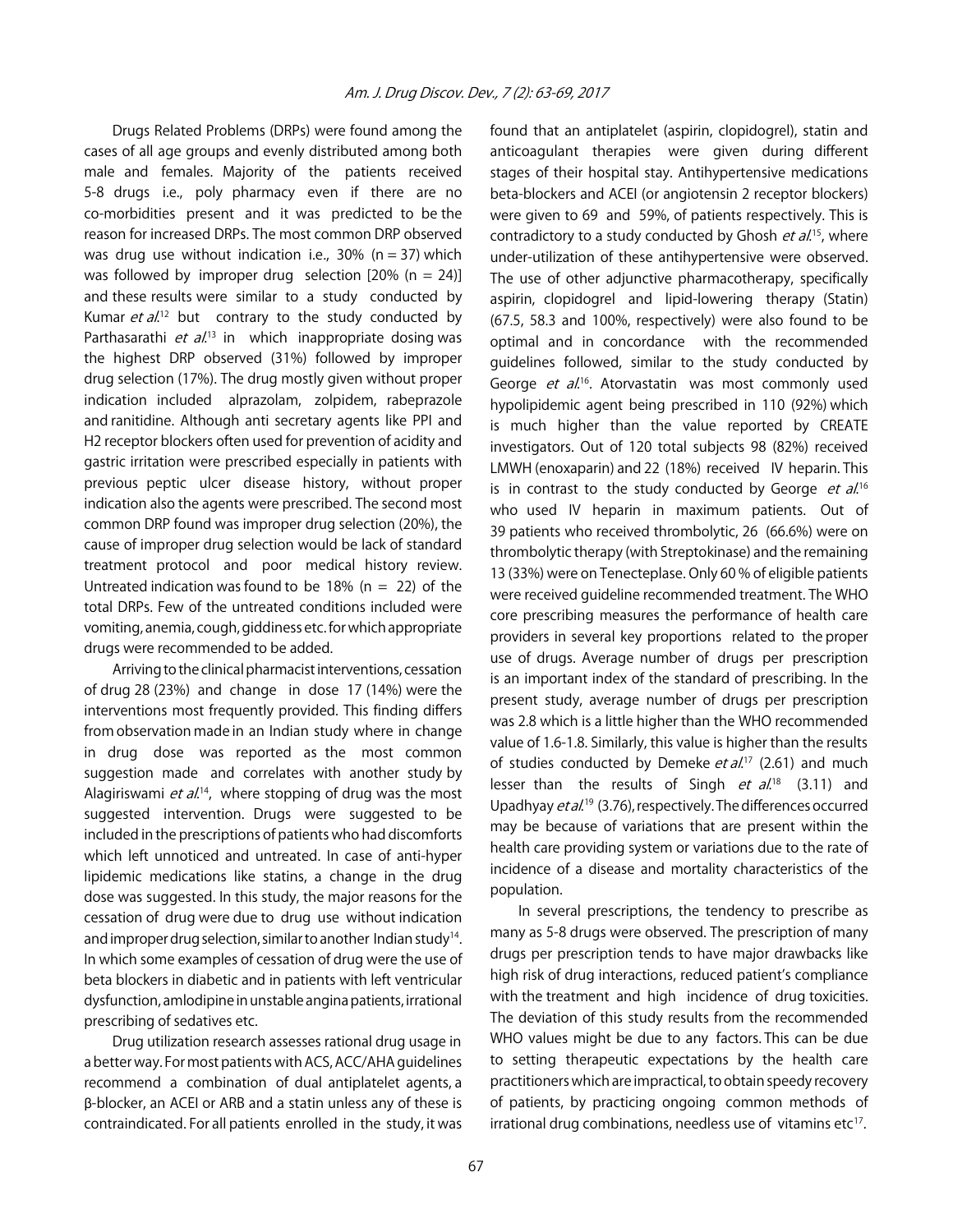Drugs Related Problems (DRPs) were found among the cases of all age groups and evenly distributed among both male and females. Majority of the patients received 5-8 drugs i.e., poly pharmacy even if there are no co-morbidities present and it was predicted to be the reason for increased DRPs. The most common DRP observed was drug use without indication i.e., 30% ( $n = 37$ ) which was followed by improper drug selection  $[20% (n = 24)]$ and these results were similar to a study conducted by Kumar et al.<sup>12</sup> but contrary to the study conducted by Parthasarathi *et al*.<sup>13</sup> in which inappropriate dosing was the highest DRP observed (31%) followed by improper drug selection (17%). The drug mostly given without proper indication included alprazolam, zolpidem, rabeprazole and ranitidine. Although anti secretary agents like PPI and H2 receptor blockers often used for prevention of acidity and gastric irritation were prescribed especially in patients with previous peptic ulcer disease history, without proper indication also the agents were prescribed. The second most common DRP found was improper drug selection (20%), the cause of improper drug selection would be lack of standard treatment protocol and poor medical history review. Untreated indication was found to be 18% ( $n = 22$ ) of the total DRPs. Few of the untreated conditions included were vomiting, anemia, cough, giddiness etc. for which appropriate drugs were recommended to be added.

Arriving to the clinical pharmacist interventions, cessation of drug 28 (23%) and change in dose 17 (14%) were the interventions most frequently provided. This finding differs from observation made in an Indian study where in change in drug dose was reported as the most common suggestion made and correlates with another study by Alagiriswami *et al*.<sup>14</sup>, where stopping of drug was the most suggested intervention. Drugs were suggested to be included in the prescriptions of patients who had discomforts which left unnoticed and untreated. In case of anti-hyper lipidemic medications like statins, a change in the drug dose was suggested. In this study, the major reasons for the cessation of drug were due to drug use without indication and improper drug selection, similar to another Indian study<sup>14</sup>. In which some examples of cessation of drug were the use of beta blockers in diabetic and in patients with left ventricular dysfunction, amlodipine in unstable angina patients, irrational prescribing of sedatives etc.

Drug utilization research assesses rational drug usage in a better way. For most patients with ACS, ACC/AHA guidelines recommend a combination of dual antiplatelet agents, a \$-blocker, an ACEI or ARB and a statin unless any of these is contraindicated. For all patients enrolled in the study, it was found that an antiplatelet (aspirin, clopidogrel), statin and anticoagulant therapies were given during different stages of their hospital stay. Antihypertensive medications beta-blockers and ACEI (or angiotensin 2 receptor blockers) were given to 69 and 59%, of patients respectively. This is contradictory to a study conducted by Ghosh et al.<sup>15</sup>, where under-utilization of these antihypertensive were observed. The use of other adjunctive pharmacotherapy, specifically aspirin, clopidogrel and lipid-lowering therapy (Statin) (67.5, 58.3 and 100%, respectively) were also found to be optimal and in concordance with the recommended guidelines followed, similar to the study conducted by George et al.<sup>16</sup>. Atorvastatin was most commonly used hypolipidemic agent being prescribed in 110 (92%) which is much higher than the value reported by CREATE investigators. Out of 120 total subjects 98 (82%) received LMWH (enoxaparin) and 22 (18%) received IV heparin. This is in contrast to the study conducted by George *et al.*<sup>16</sup> who used IV heparin in maximum patients. Out of 39 patients who received thrombolytic, 26 (66.6%) were on thrombolytic therapy (with Streptokinase) and the remaining 13 (33%) were on Tenecteplase. Only 60 % of eligible patients were received guideline recommended treatment. The WHO core prescribing measures the performance of health care providers in several key proportions related to the proper use of drugs. Average number of drugs per prescription is an important index of the standard of prescribing. In the present study, average number of drugs per prescription was 2.8 which is a little higher than the WHO recommended value of 1.6-1.8. Similarly, this value is higher than the results of studies conducted by Demeke et al.<sup>17</sup> (2.61) and much lesser than the results of Singh *et al.*<sup>18</sup> (3.11) and Upadhyay *et al*.<sup>19</sup> (3.76), respectively. The differences occurred may be because of variations that are present within the health care providing system or variations due to the rate of incidence of a disease and mortality characteristics of the population.

In several prescriptions, the tendency to prescribe as many as 5-8 drugs were observed. The prescription of many drugs per prescription tends to have major drawbacks like high risk of drug interactions, reduced patient's compliance with the treatment and high incidence of drug toxicities. The deviation of this study results from the recommended WHO values might be due to any factors. This can be due to setting therapeutic expectations by the health care practitioners which are impractical, to obtain speedy recovery of patients, by practicing ongoing common methods of irrational drug combinations, needless use of vitamins etc $17$ .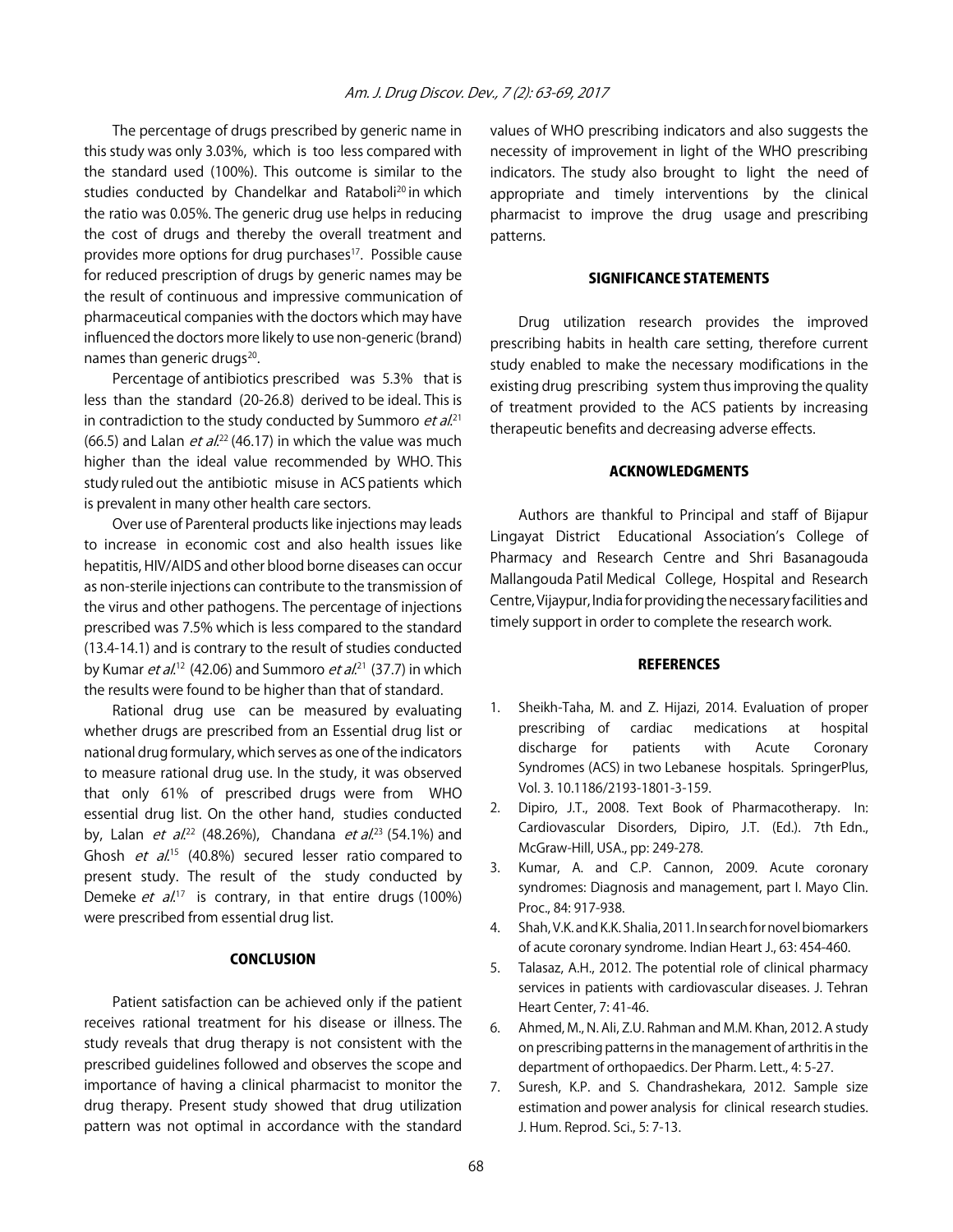The percentage of drugs prescribed by generic name in this study was only 3.03%, which is too less compared with the standard used (100%). This outcome is similar to the studies conducted by Chandelkar and Rataboli<sup>20</sup> in which the ratio was 0.05%. The generic drug use helps in reducing the cost of drugs and thereby the overall treatment and provides more options for drug purchases<sup>17</sup>. Possible cause for reduced prescription of drugs by generic names may be the result of continuous and impressive communication of pharmaceutical companies with the doctors which may have influenced the doctors more likely to use non-generic (brand) names than generic drugs<sup>20</sup>.

Percentage of antibiotics prescribed was 5.3% that is less than the standard (20-26.8) derived to be ideal. This is in contradiction to the study conducted by Summoro *et al.*<sup>21</sup> (66.5) and Lalan  $et$   $al$ <sup>22</sup> (46.17) in which the value was much higher than the ideal value recommended by WHO. This study ruled out the antibiotic misuse in ACS patients which is prevalent in many other health care sectors.

Over use of Parenteral products like injections may leads to increase in economic cost and also health issues like hepatitis, HIV/AIDS and other blood borne diseases can occur as non-sterile injections can contribute to the transmission of the virus and other pathogens. The percentage of injections prescribed was 7.5% which is less compared to the standard (13.4-14.1) and is contrary to the result of studies conducted by Kumar *et al*.<sup>12</sup> (42.06) and Summoro *et al*.<sup>21</sup> (37.7) in which the results were found to be higher than that of standard.

Rational drug use can be measured by evaluating whether drugs are prescribed from an Essential drug list or national drug formulary, which serves as one of the indicators to measure rational drug use. In the study, it was observed that only 61% of prescribed drugs were from WHO essential drug list. On the other hand, studies conducted by, Lalan *et al.*<sup>22</sup> (48.26%), Chandana *et al.*<sup>23</sup> (54.1%) and Ghosh *et al*<sup>15</sup> (40.8%) secured lesser ratio compared to present study. The result of the study conducted by Demeke et al.<sup>17</sup> is contrary, in that entire drugs (100%) were prescribed from essential drug list.

## **CONCLUSION**

Patient satisfaction can be achieved only if the patient receives rational treatment for his disease or illness. The study reveals that drug therapy is not consistent with the prescribed guidelines followed and observes the scope and importance of having a clinical pharmacist to monitor the drug therapy. Present study showed that drug utilization pattern was not optimal in accordance with the standard

values of WHO prescribing indicators and also suggests the necessity of improvement in light of the WHO prescribing indicators. The study also brought to light the need of appropriate and timely interventions by the clinical pharmacist to improve the drug usage and prescribing patterns.

## SIGNIFICANCE STATEMENTS

Drug utilization research provides the improved prescribing habits in health care setting, therefore current study enabled to make the necessary modifications in the existing drug prescribing system thus improving the quality of treatment provided to the ACS patients by increasing therapeutic benefits and decreasing adverse effects.

## ACKNOWLEDGMENTS

Authors are thankful to Principal and staff of Bijapur Lingayat District Educational Association's College of Pharmacy and Research Centre and Shri Basanagouda Mallangouda Patil Medical College, Hospital and Research Centre, Vijaypur, India for providing the necessary facilities and timely support in order to complete the research work.

#### **REFERENCES**

- 1. Sheikh-Taha, M. and Z. Hijazi, 2014. Evaluation of proper prescribing of cardiac medications at hospital discharge for patients with Acute Coronary Syndromes (ACS) in two Lebanese hospitals. SpringerPlus, Vol. 3. 10.1186/2193-1801-3-159.
- 2. Dipiro, J.T., 2008. Text Book of Pharmacotherapy. In: Cardiovascular Disorders, Dipiro, J.T. (Ed.). 7th Edn., McGraw-Hill, USA., pp: 249-278.
- 3. Kumar, A. and C.P. Cannon, 2009. Acute coronary syndromes: Diagnosis and management, part I. Mayo Clin. Proc., 84: 917-938.
- 4. Shah, V.K. and K.K. Shalia, 2011. In search for novel biomarkers of acute coronary syndrome. Indian Heart J., 63: 454-460.
- 5. Talasaz, A.H., 2012. The potential role of clinical pharmacy services in patients with cardiovascular diseases. J. Tehran Heart Center, 7: 41-46.
- 6. Ahmed, M., N. Ali, Z.U. Rahman and M.M. Khan, 2012. A study on prescribing patterns in the management of arthritis in the department of orthopaedics. Der Pharm. Lett., 4: 5-27.
- 7. Suresh, K.P. and S. Chandrashekara, 2012. Sample size estimation and power analysis for clinical research studies. J. Hum. Reprod. Sci., 5: 7-13.